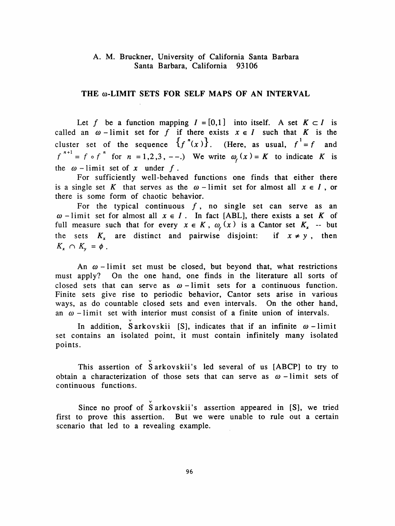## A. M. Bruckner, University of California Santa Barbara Santa Barbara, California 93106

## THE  $\omega$ -LIMIT SETS FOR SELF MAPS OF AN INTERVAL

Let f be a function mapping  $I = [0,1]$  into itself. A set  $K \subset I$  is called an  $\omega$ -limit set for f if there exists  $x \in I$  such that K is the cluster set of the sequence  $\{f''(x)\}$ . (Here, as usual,  $f^{1}=f$  and  $f^{n+1} = f \circ f^{n}$  for  $n = 1,2,3, --$ .) We write  $\omega_f(x) = K$  to indicate K is the  $\omega$ -limit set of x under f.

 For sufficiently well-behaved functions one finds that either there is a single set K that serves as the  $\omega$ -limit set for almost all  $x \in I$ , or there is some form of chaotic behavior.

For the typical continuous  $f$ , no single set can serve as an  $\omega$  - limit set for almost all  $x \in I$ . In fact [ABL], there exists a set K of full measure such that for every  $x \in K$ ,  $\omega_t(x)$  is a Cantor set  $K_x$  -- but the sets  $K_x$  are distinct and pairwise disjoint: if  $x \neq y$ , then  $K_x \cap K_y = \phi$ .

An  $\omega$ -limit set must be closed, but beyond that, what restrictions must apply? On the one hand, one finds in the literature all sorts of closed sets that can serve as  $\omega$ -limit sets for a continuous function. Finite sets give rise to periodic behavior, Cantor sets arise in various ways, as do countable closed sets and even intervals. On the other hand, an  $\omega$  - limit set with interior must consist of a finite union of intervals.

In addition,  $\check{S}$  arkovskii [S], indicates that if an infinite  $\omega$  -limit set contains an isolated point, it must contain infinitely many isolated points.

This assertion of Sarkovskii's led several of us [ABCP] to try to obtain a characterization of those sets that can serve as  $\omega$  - limit sets of continuous functions.

 Since no proof of Sarkovskii's assertion appeared in [S], we tried first to prove this assertion. But we were unable to rule out a certain scenario that led to a revealing example.

v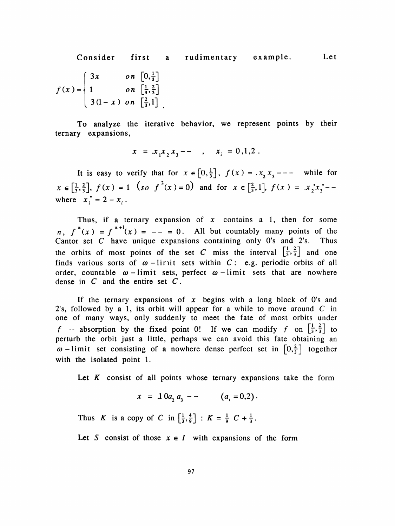Consider first a rudimentary example. Let  $3x$  on  $\left[0,\frac{1}{3}\right]$  $f(x) = \begin{cases} 1 & \text{on } \left[ \frac{1}{3}, \frac{2}{3} \right] \\ 1 & \text{on } \left[ \frac{1}{3}, \frac{2}{3} \right] \end{cases}$  $3(1-x)$  on  $\left[\frac{2}{3},1\right]$ .

 To analyze the iterative behavior, we represent points by their ternary expansions,

$$
x = x_1 x_2 x_3 - \quad , \quad x_i = 0, 1, 2 \; .
$$

It is easy to verify that for  $x \in [0, \frac{1}{3}]$ ,  $f(x) = x_2 x_3 - - -$  while for  $x \in \left[\frac{1}{3},\frac{2}{3}\right], f(x) = 1$   $\left(\begin{array}{cc} 50 & f^{2}(x) = 0 \end{array}\right)$  and for  $x \in \left[\frac{2}{3},1\right], f(x) = .x_{2}^{*}x_{3}^{*}$ where  $x_i^* = 2 - x_i$ .

Thus, if a ternary expansion of  $x$  contains a 1, then for some n,  $f''(x) = f'''(x) = -$  = 0. All but countably many points of the Cantor set C have unique expansions containing only  $0$ 's and  $2$ 's. Thus the orbits of most points of the set C miss the interval  $\left[\frac{1}{3}, \frac{2}{3}\right]$  and one finds various sorts of  $\omega$ -lirit sets within C: e.g. periodic orbits of all order, countable  $\omega$ -limit sets, perfect  $\omega$ -limit sets that are nowhere dense in  $C$  and the entire set  $C$ .

If the ternary expansions of  $x$  begins with a long block of  $0$ 's and 2's, followed by a 1, its orbit will appear for a while to move around  $C$  in one of many ways, only suddenly to meet the fate of most orbits under f -- absorption by the fixed point 0! If we can modify f on  $\left[\frac{1}{3}, \frac{2}{3}\right]$  to perturb the orbit just a little, perhaps we can avoid this fate obtaining an  $\omega$  -limit set consisting of a nowhere dense perfect set in  $\left[0, \frac{2}{3}\right]$  together with the isolated point 1.

Let  $K$  consist of all points whose ternary expansions take the form

$$
x = .10a_2 a_3 -- (a_i = 0.2).
$$

Thus K is a copy of C in  $\left[\frac{1}{3}, \frac{4}{9}\right]$  :  $K = \frac{1}{9}C + \frac{1}{3}$ .

Let S consist of those  $x \in I$  with expansions of the form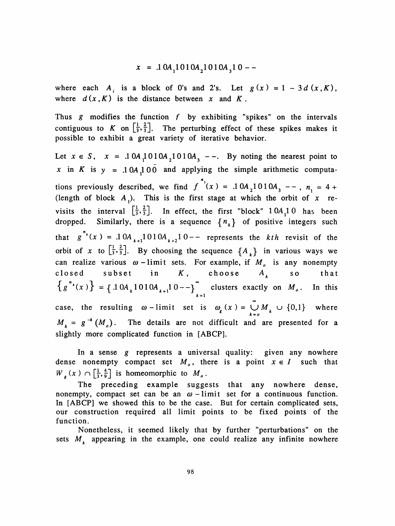$$
x = .10A_1 1010A_2 1010A_3 10 -
$$

where each  $A_i$  is a block of 0's and 2's. Let  $g(x) = 1 - 3 d(x,K)$ , where  $d(x, K)$  is the distance between x and K.

Thus  $g$  modifies the function  $f$  by exhibiting "spikes" on the intervals contiguous to K on  $\left[\frac{1}{3}, \frac{2}{3}\right]$ . The perturbing effect of these spikes makes it possible to exhibit a great variety of iterative behavior.

Let  $x \in S$ ,  $x = .10A_1 010A_2 1010A_3$  --. By noting the nearest point to x in K is  $y = .10A \cdot 100$  and applying the simple arithmetic computa- », tions previously described, we find  $f(x) = 0.10A_2$  or (length of block  $A_1$ ). This is the first stage at which the orbit of x revisits the interval  $\left[\frac{1}{3}, \frac{2}{3}\right]$ . In effect, the first "block" 1 0A<sub>1</sub>1 0 has been dropped. Similarly, there is a sequence  $\{n_k\}$  of positive integers such n that  $\delta$  (x) = .1 O<sub>A</sub>  $_{k+1}$  O 1 O<sub>A</sub>  $_{k+2}$ <sup>1</sup> 0 - represents the k orbit of x to  $\left[\frac{1}{3}, \frac{2}{3}\right]$ . By choosing the sequence  $\{A_k\}$  in various ways we can realize various  $\omega$ -limit sets. For example, if  $M_{o}$  is any nonempty closed subset in  $K$ , choose  $A_k$  so that  $f(x)$  = {  $.10A_{k}1010A_{k+1}10--$ } $\sum_{k=1}^{\infty}$  clusters exactly on  $M_o$ . In this case, the resulting  $\omega$ -limit set is  $\omega_g(x) = \bigcup_{k=0}^{\infty} M_k \cup \{0,1\}$  where  $M_k = g^{-k} (M_o)$ . The details are not difficult and are presented for a slightly more complicated function in [ABCP].

In a sense g represents a universal quality: given any nowhere dense nonempty compact set  $M_0$ , there is a point  $x \in I$  such that  $W_{g}(x) \cap \left[\frac{1}{3}, \frac{4}{9}\right]$  is homeomorphic to  $M_{g}$ .

 The preceding example suggests that any nowhere dense, nonempty, compact set can be an  $\omega$ -limit set for a continuous function. In [ABCP] we showed this to be the case. But for certain complicated sets, our construction required all limit points to be fixed points of the function.

 Nonetheless, it seemed likely that by further "perturbations" on the sets  $M_k$  appearing in the example, one could realize any infinite nowhere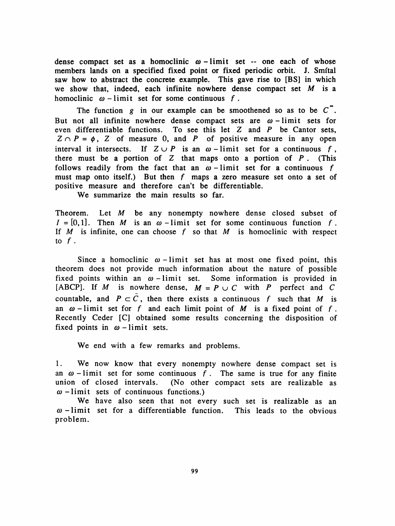dense compact set as a homoclinic  $\omega$ -limit set -- one each of whose members lands on a specified fixed point or fixed periodic orbit. J. Smítal saw how to abstract the concrete example. This gave rise to [BS] in which we show that, indeed, each infinite nowhere dense compact set  $M$  is a homoclinic  $\omega$  -limit set for some continuous f.

The function g in our example can be smoothened so as to be  $C$ . But not all infinite nowhere dense compact sets are  $\omega$ -limit sets for even differentiable functions. To see this let Z and P be Cantor sets,  $Z \cap P = \phi$ , Z of measure 0, and P of positive measure in any open interval it intersects. If  $Z \cup P$  is an  $\omega$ -limit set for a continuous f, there must be a portion of  $Z$  that maps onto a portion of  $P$ . (This follows readily from the fact that an  $\omega$ -limit set for a continuous f must map onto itself.) But then  $f$  maps a zero measure set onto a set of positive measure and therefore can't be differentiable.

We summarize the main results so far.

Theorem. Let  $M$  be any nonempty nowhere dense closed subset of  $I = [0,1]$ . Then M is an  $\omega$ -limit set for some continuous function f. If  $M$  is infinite, one can choose f so that  $M$  is homoclinic with respect to  $f$  .

Since a homoclinic  $\omega$ -limit set has at most one fixed point, this theorem does not provide much information about the nature of possible fixed points within an  $\omega$ -limit set. Some information is provided in [ABCP]. If M is nowhere dense,  $M = P \cup C$  with P perfect and C countable, and  $P \subset C$ , then there exists a continuous f such that M is an  $\omega$ -limit set for f and each limit point of M is a fixed point of f. Recently Ceder [C] obtained some results concerning the disposition of fixed points in  $\omega$ -limit sets.

We end with a few remarks and problems.

1. We now know that every nonempty nowhere dense compact set is an  $\omega$ -limit set for some continuous f. The same is true for any finite union of closed intervals. (No other compact sets are realizable as (No other compact sets are realizable as  $\omega$  -limit sets of continuous functions.)

We have also seen that not every such set is realizable as an  $\omega$ -limit set for a differentiable function. This leads to the obvious problem.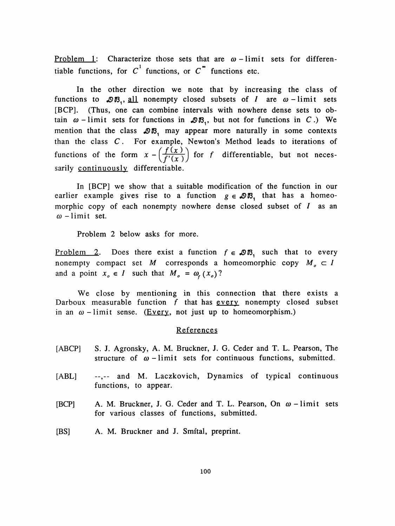<u>Problem 1</u>: Characterize those sets that are  $\omega$ -limit sets for differen-**Problem 1:** Characterize those sets that are  $\omega$  – limitiable functions, for  $C^1$  functions, or  $C^2$  functions etc.

In the other direction we note that by increasing the class of functions to  $\mathcal{DB}_1$ , all nonempty closed subsets of *I* are  $\omega$ -limit sets [BCP]. (Thus, one can combine intervals with nowhere dense sets to ob tain  $\omega$ -limit sets for functions in  $\mathcal{D}\mathcal{B}_1$ , but not for functions in C.) We mention that the class  $\mathcal{DB}_1$  may appear more naturally in some contexts than the class  $C$ . For example, Newton's Method leads to iterations of functions of the form  $x - \left(\frac{f(x)}{f'(x)}\right)$  for f differentiable, but not necessarily continuously differentiable.

 In [BCP] we show that a suitable modification of the function in our earlier example gives rise to a function  $g \in \mathcal{DB}$ , that has a homeomorphic copy of each nonempty nowhere dense closed subset of  $I$  as an  $\omega$  - limit set.

Problem 2 below asks for more.

Problem 2. Does there exist a function  $f \in \mathcal{DB}$ , such that to every nonempty compact set M corresponds a homeomorphic copy  $M_0 \subset I$ and a point  $x_0 \in I$  such that  $M_0 = \omega_f(x_0)$ ?

 We close by mentioning in this connection that there exists a Darboux measurable function  $f$  that has every nonempty closed subset in an  $\omega$  -limit sense. (Every, not just up to homeomorphism.)

## References

- [ABCP] S. J. Agronsky, A. M. Bruckner, J. G. Ceder and T. L. Pearson, The structure of  $\omega$ -limit sets for continuous functions, submitted.
- [ABL]  $\cdots$ ,-- and M. Laczkovich, Dynamics of typical continuous functions, to appear.
- [BCP] A. M. Bruckner, J. G. Ceder and T. L. Pearson, On  $\omega$  limit sets for various classes of functions, submitted.
- [BS] A. M. Bruckner and J. Smítal, preprint.